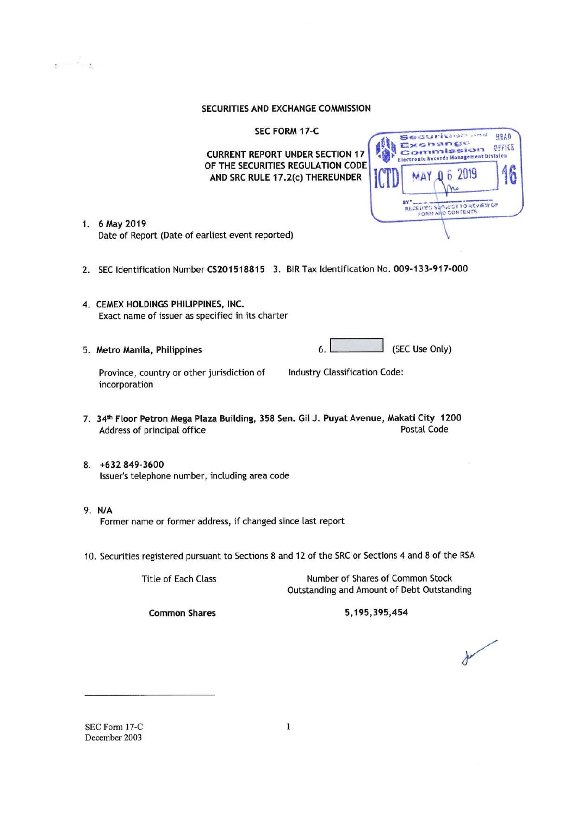#### SECURITIES AND EXCHANGE COMMISSION

SEC FORM 17-C

**CURRENT REPORT UNDER SECTION 17** OF THE SECURITIES REGULATION CODE AND SRC RULE 17.2(c) THEREUNDER

| Securitation and<br>Exchange<br>Commission<br>Electronic Records Management Division<br>MAY 0 6 2019 | HEAD<br>OFFICE |
|------------------------------------------------------------------------------------------------------|----------------|
| <b>RECEIVED SURVECT TO REVIEW OF</b><br>FORM AND CONTENTS                                            |                |

- 1. 6 May 2019 Date of Report (Date of earliest event reported)
- 2. SEC Identification Number CS201518815 3. BIR Tax Identification No. 009-133-917-000
- 4. CEMEX HOLDINGS PHILIPPINES, INC. Exact name of issuer as specified in its charter
- 5. Metro Manila, Philippines

 $\mathbf{r} = \mathbf{r}$ 

 $6.1$ (SEC Use Only)

Industry Classification Code:

Province, country or other jurisdiction of incorporation

- 7. 34th Floor Petron Mega Plaza Building, 358 Sen. Gil J. Puyat Avenue, Makati City 1200 **Postal Code** Address of principal office
- 8. +632 849-3600 Issuer's telephone number, including area code
- 9. N/A Former name or former address, if changed since last report
- 10. Securities registered pursuant to Sections 8 and 12 of the SRC or Sections 4 and 8 of the RSA

**Title of Each Class** 

Number of Shares of Common Stock Outstanding and Amount of Debt Outstanding

**Common Shares** 

5,195,395,454

SEC Form 17-C December 2003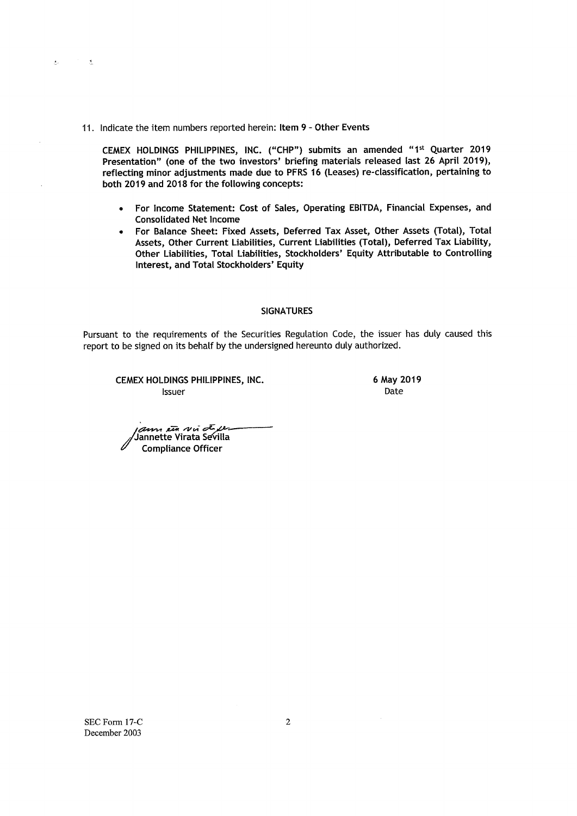11. Indicate the item numbers reported herein: Item 9 - Other Events

 $\Delta\epsilon=0$ 

 $\mathcal{L}=\mathcal{L}$ 

CEMEX HOLDINGS PHILIPPINES, INC. ("CHP") submits an amended "1st Quarter 2019 Presentation" (one of the two investors' briefing materials released last 26 April 2019), reflecting minor adjustments made due to PFRS 16 (Leases) re-classification, pertaining to both 2019 and 2018 for the following concepts:

- For Income Statement: Cost of Sales, Operating EBITDA, Financial Expenses, and  $\bullet$ **Consolidated Net Income**
- For Balance Sheet: Fixed Assets, Deferred Tax Asset, Other Assets (Total), Total Assets, Other Current Liabilities, Current Liabilities (Total), Deferred Tax Liability, Other Liabilities, Total Liabilities, Stockholders' Equity Attributable to Controlling Interest, and Total Stockholders' Equity

#### **SIGNATURES**

Pursuant to the requirements of the Securities Regulation Code, the issuer has duly caused this report to be signed on its behalf by the undersigned hereunto duly authorized.

CEMEX HOLDINGS PHILIPPINES, INC. **Issuer** 

6 May 2019 Date

اسم عصر تقع مسلم ہے<br>Jannette Virata Sevilla **Compliance Officer** 

SEC Form 17-C December 2003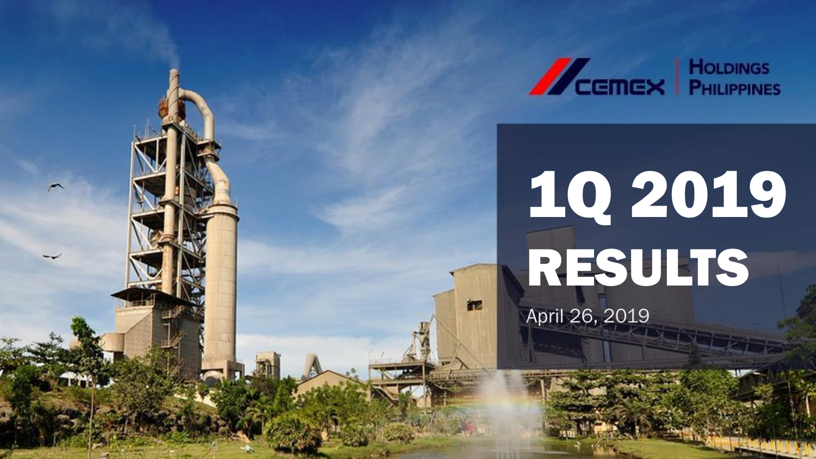

# 1Q 2019 RESULTS

April 26, 2019

视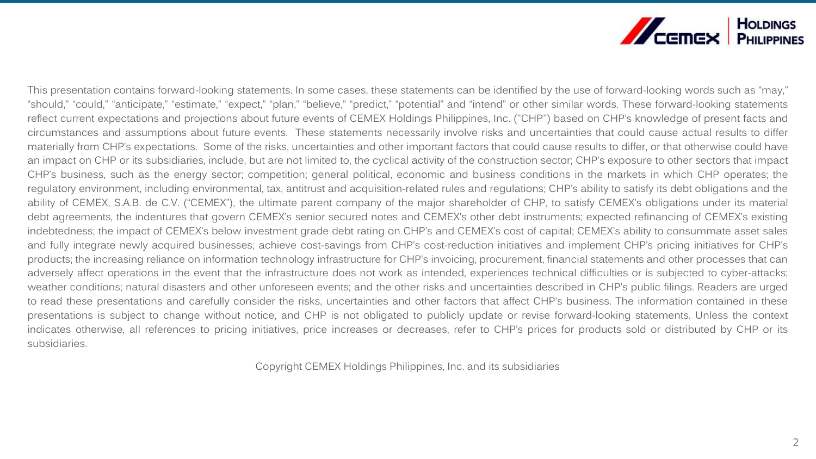

This presentation contains forward-looking statements. In some cases, these statements can be identified by the use of forward-looking words such as "may," "should," "could," "anticipate," "estimate," "expect," "plan," "believe," "predict," "potential" and "intend" or other similar words. These forward-looking statements reflect current expectations and projections about future events of CEMEX Holdings Philippines, Inc. ("CHP") based on CHP's knowledge of present facts and circumstances and assumptions about future events. These statements necessarily involve risks and uncertainties that could cause actual results to differ materially from CHP's expectations. Some of the risks, uncertainties and other important factors that could cause results to differ, or that otherwise could have an impact on CHP or its subsidiaries, include, but are not limited to, the cyclical activity of the construction sector; CHP's exposure to other sectors that impact CHP's business, such as the energy sector; competition; general political, economic and business conditions in the markets in which CHP operates; the regulatory environment, including environmental, tax, antitrust and acquisition-related rules and regulations; CHP's ability to satisfy its debt obligations and the ability of CEMEX, S.A.B. de C.V. ("CEMEX"), the ultimate parent company of the major shareholder of CHP, to satisfy CEMEX's obligations under its material debt agreements, the indentures that govern CEMEX's senior secured notes and CEMEX's other debt instruments; expected refinancing of CEMEX's existing indebtedness; the impact of CEMEX's below investment grade debt rating on CHP's and CEMEX's cost of capital; CEMEX's ability to consummate asset sales and fully integrate newly acquired businesses; achieve cost-savings from CHP's cost-reduction initiatives and implement CHP's pricing initiatives for CHP's products; the increasing reliance on information technology infrastructure for CHP's invoicing, procurement, financial statements and other processes that can adversely affect operations in the event that the infrastructure does not work as intended, experiences technical difficulties or is subjected to cyber-attacks; weather conditions; natural disasters and other unforeseen events; and the other risks and uncertainties described in CHP's public filings. Readers are urged to read these presentations and carefully consider the risks, uncertainties and other factors that affect CHP's business. The information contained in these presentations is subject to change without notice, and CHP is not obligated to publicly update or revise forward-looking statements. Unless the context indicates otherwise, all references to pricing initiatives, price increases or decreases, refer to CHP's prices for products sold or distributed by CHP or its subsidiaries.

Copyright CEMEX Holdings Philippines, Inc. and its subsidiaries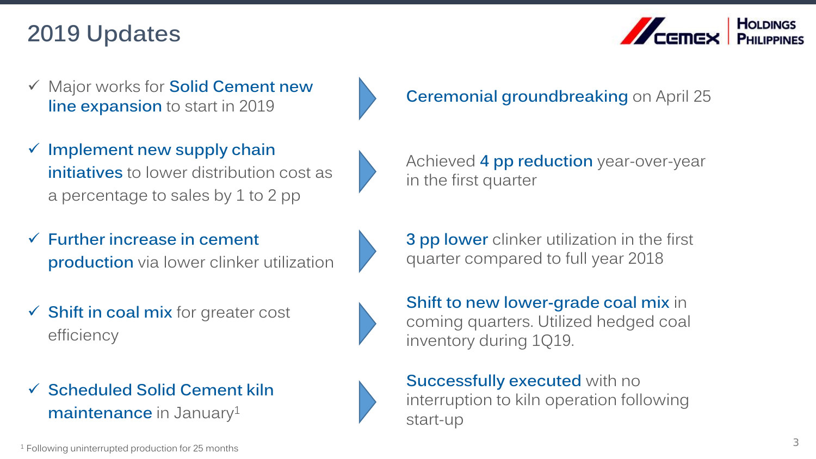# **2019 Updates**



- ✓ Major works for **Solid Cement new line expansion** to start in 2019 **Ceremonial groundbreaking** on April 25
- ✓ **Implement new supply chain initiatives** to lower distribution cost as a percentage to sales by 1 to 2 pp
- ✓ **Further increase in cement production** via lower clinker utilization
- ✓ **Shift in coal mix** for greater cost efficiency
- ✓ **Scheduled Solid Cement kiln maintenance** in January<sup>1</sup>

Achieved **4 pp reduction** year-over-year in the first quarter

**3 pp lower** clinker utilization in the first quarter compared to full year 2018

**Shift to new lower-grade coal mix** in coming quarters. Utilized hedged coal inventory during 1Q19.

**Successfully executed** with no interruption to kiln operation following start-up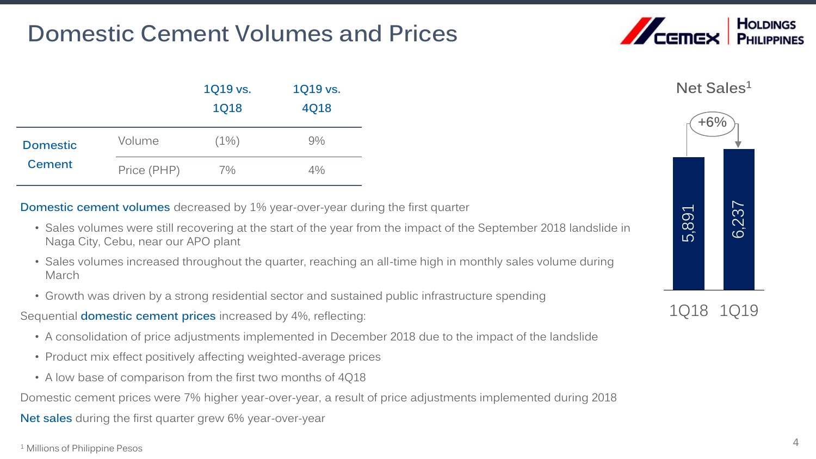# **Domestic Cement Volumes and Prices**



**Net Sales<sup>1</sup>**

|                           |             | 1Q19 vs.<br><b>1Q18</b> | 1Q19 vs.<br>4Q18 |
|---------------------------|-------------|-------------------------|------------------|
| <b>Domestic</b><br>Cement | Volume      | $(1\%)$                 | 9%               |
|                           | Price (PHP) | 7%                      | $4\%$            |

**Domestic cement volumes** decreased by 1% year-over-year during the first quarter

- Sales volumes were still recovering at the start of the year from the impact of the September 2018 landslide in Naga City, Cebu, near our APO plant
- Sales volumes increased throughout the quarter, reaching an all-time high in monthly sales volume during March
- Growth was driven by a strong residential sector and sustained public infrastructure spending
- Sequential **domestic cement prices** increased by 4%, reflecting:
	- A consolidation of price adjustments implemented in December 2018 due to the impact of the landslide
	- Product mix effect positively affecting weighted-average prices
	- A low base of comparison from the first two months of 4Q18

Domestic cement prices were 7% higher year-over-year, a result of price adjustments implemented during 2018

**Net sales** during the first quarter grew 6% year-over-year

<sup>1</sup> Millions of Philippine Pesos



1Q18 1Q19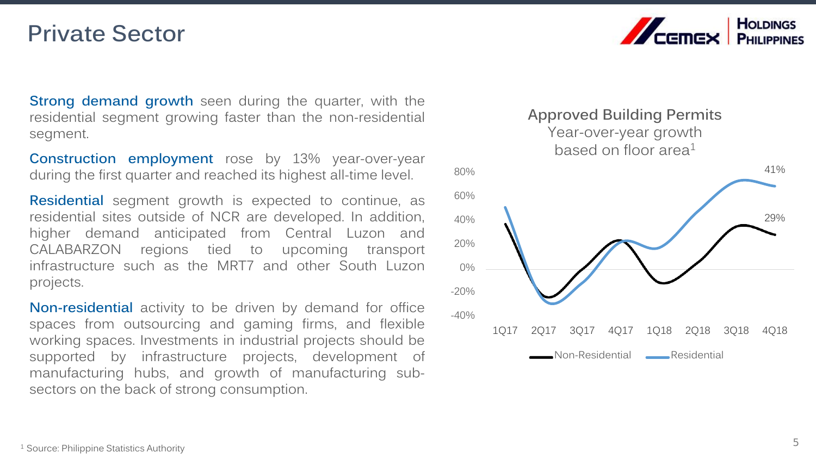### **Private Sector**

**Strong demand growth** seen during the quarter, with the residential segment growing faster than the non-residential segment.

**Construction employment** rose by 13% year-over-year during the first quarter and reached its highest all-time level.

**Residential** segment growth is expected to continue, as residential sites outside of NCR are developed. In addition, higher demand anticipated from Central Luzon and CALABARZON regions tied to upcoming transport infrastructure such as the MRT7 and other South Luzon projects.

**Non-residential** activity to be driven by demand for office spaces from outsourcing and gaming firms, and flexible working spaces. Investments in industrial projects should be supported by infrastructure projects, development of manufacturing hubs, and growth of manufacturing subsectors on the back of strong consumption.



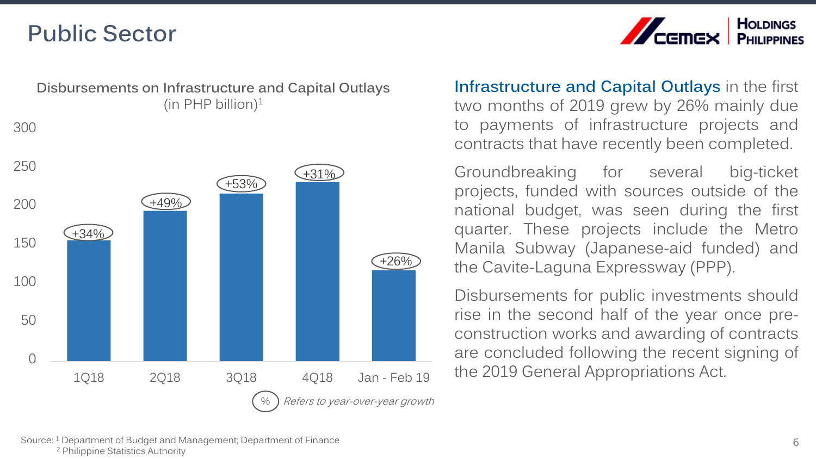## **Public Sector**



 $+34%$  $+49%$ +53% +31% +26% 0 50 100 150 200 250 300 1Q18 2Q18 3Q18 4Q18 Jan - Feb 19 **Disbursements on Infrastructure and Capital Outlays** (in PHP billion) $1$ Refers to year-over-year growth **Infrastructure and Capital Outlays** in the first two months of 2019 grew by 26% mainly due to payments of infrastructure projects and contracts that have recently been completed.

Groundbreaking for several big-ticket projects, funded with sources outside of the national budget, was seen during the first quarter. These projects include the Metro Manila Subway (Japanese-aid funded) and the Cavite-Laguna Expressway (PPP).

Disbursements for public investments should rise in the second half of the year once preconstruction works and awarding of contracts are concluded following the recent signing of the 2019 General Appropriations Act.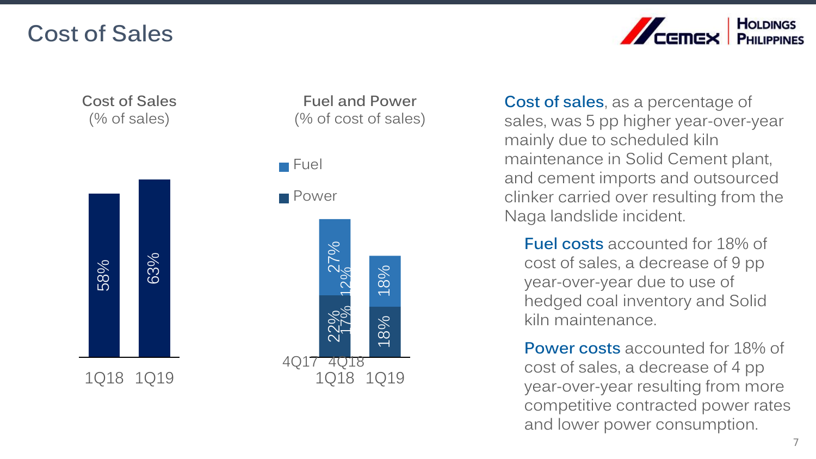## **Cost of Sales**



**Cost of Sales** (% of sales)



**Fuel and Power** (% of cost of sales) **Cost of sales**, as a percentage of sales, was 5 pp higher year -over -year mainly due to scheduled kiln maintenance in Solid Cement plant, and cement imports and outsourced clinker carried over resulting from the Naga landslide incident.

**Fuel costs** accounted for 18% of cost of sales, a decrease of 9 pp year -over -year due to use of hedged coal inventory and Solid kiln maintenance.

**Power costs** accounted for 18% of cost of sales, a decrease of 4 pp year -over -year resulting from more competitive contracted power rates and lower power consumption.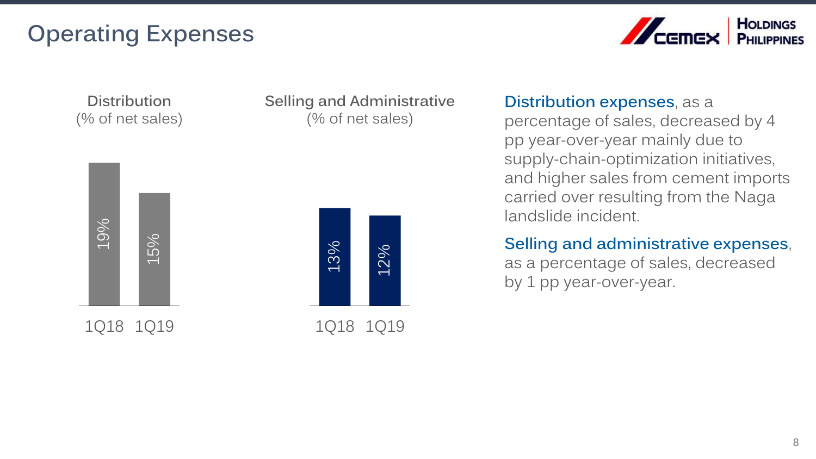# **Operating Expenses**



**Distribution** (% of net sales)



1Q18 1Q19

**Selling and Administrative** (% of net sales)



### **Distribution expenses**, as a

percentage of sales, decreased by 4 pp year-over-year mainly due to supply-chain-optimization initiatives, and higher sales from cement imports carried over resulting from the Naga landslide incident.

### **Selling and administrative expenses**, as a percentage of sales, decreased by 1 pp year-over-year.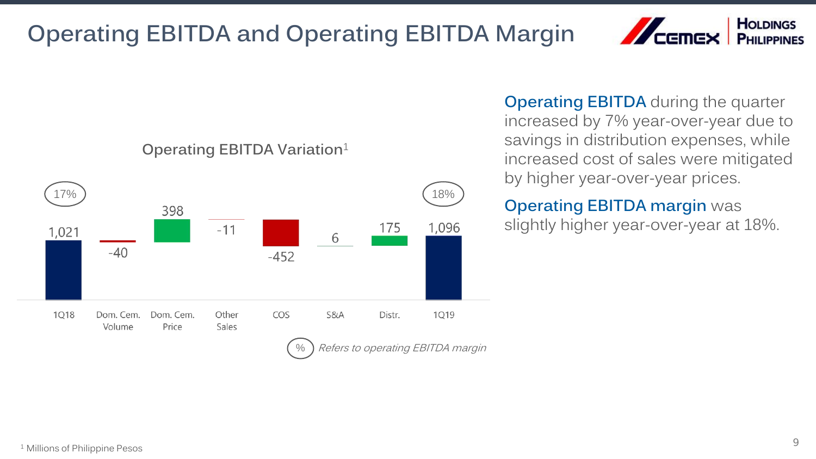# **Operating EBITDA and Operating EBITDA Margin**





### **Operating EBITDA Variation**<sup>1</sup>

**Operating EBITDA** during the quarter increased by 7% year-over-year due to savings in distribution expenses, while increased cost of sales were mitigated by higher year-over-year prices.

### **Operating EBITDA margin** was slightly higher year-over-year at 18%.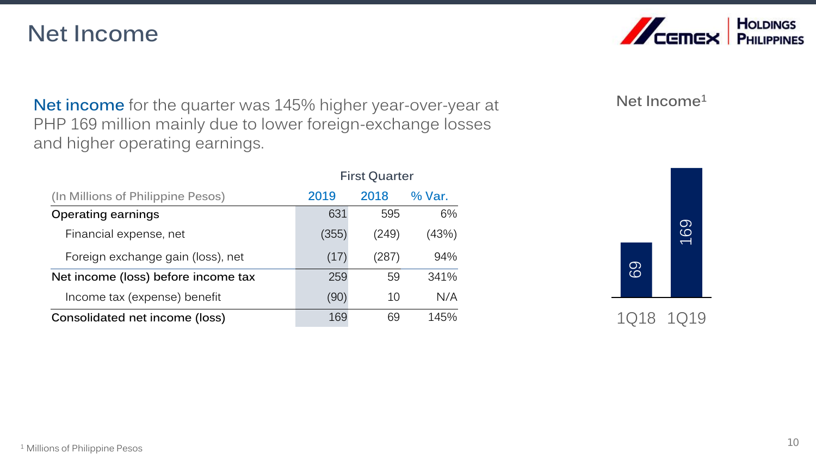### **Net Income**



**Net income** for the quarter was 145% higher year-over-year at PHP 169 million mainly due to lower foreign-exchange losses and higher operating earnings.

**First Quarter**

|                                     | Filst Quarter |       |        |
|-------------------------------------|---------------|-------|--------|
| (In Millions of Philippine Pesos)   | 2019          | 2018  | % Var. |
| <b>Operating earnings</b>           | 631           | 595   | 6%     |
| Financial expense, net              | (355)         | (249) | (43%)  |
| Foreign exchange gain (loss), net   | (17)          | (287) | 94%    |
| Net income (loss) before income tax | 259           | 59    | 341%   |
| Income tax (expense) benefit        | (90)          | 10    | N/A    |
| Consolidated net income (loss)      | 169           | 69    | 145%   |

### **Net Income<sup>1</sup>**

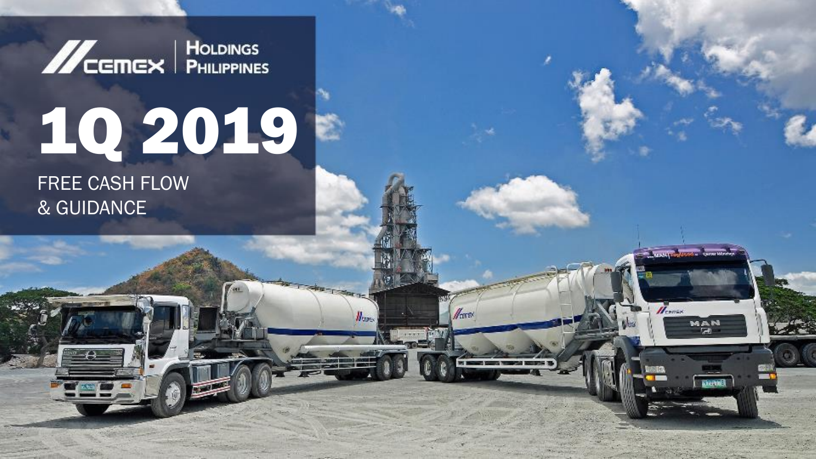**MCGMEX** PHILIPPINES

# 1Q 2019

**TENNET CONSULTANT** 

 $\mathbf{H}_{\text{const}}$ 

MAN is a

**Bientell** 

Herex

**CONTRACTOR** 

 $H_{\text{core}}$ 

FREE CASH FLOW & GUIDANCE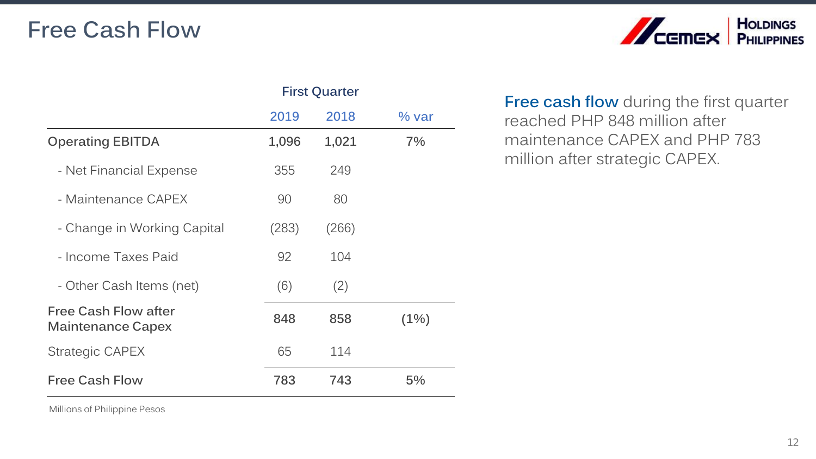## **Free Cash Flow**



|                                                         | <b>First Quarter</b> |       |         |
|---------------------------------------------------------|----------------------|-------|---------|
|                                                         | 2019                 | 2018  | $%$ var |
| <b>Operating EBITDA</b>                                 | 1,096                | 1,021 | 7%      |
| - Net Financial Expense                                 | 355                  | 249   |         |
| - Maintenance CAPEX                                     | 90                   | 80    |         |
| - Change in Working Capital                             | (283)                | (266) |         |
| - Income Taxes Paid                                     | 92                   | 104   |         |
| - Other Cash Items (net)                                | (6)                  | (2)   |         |
| <b>Free Cash Flow after</b><br><b>Maintenance Capex</b> | 848                  | 858   | $(1\%)$ |
| Strategic CAPEX                                         | 65                   | 114   |         |
| <b>Free Cash Flow</b>                                   | 783                  | 743   | 5%      |

**Free cash flow** during the first quarter reached PHP 848 million after maintenance CAPEX and PHP 783 million after strategic CAPEX.

Millions of Philippine Pesos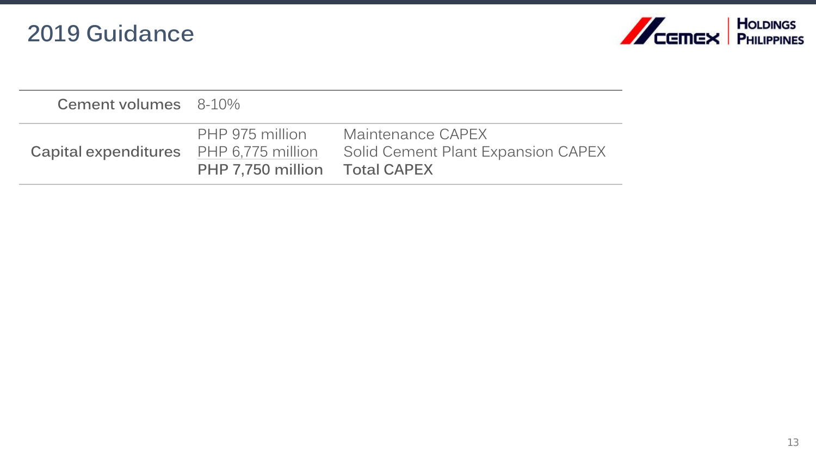# **2019 Guidance**



| Cement volumes 8-10%                          |                                                  |                                                         |
|-----------------------------------------------|--------------------------------------------------|---------------------------------------------------------|
| <b>Capital expenditures</b> PHP 6,775 million | PHP 975 million<br>PHP 7,750 million Total CAPEX | Maintenance CAPEX<br>Solid Cement Plant Expansion CAPEX |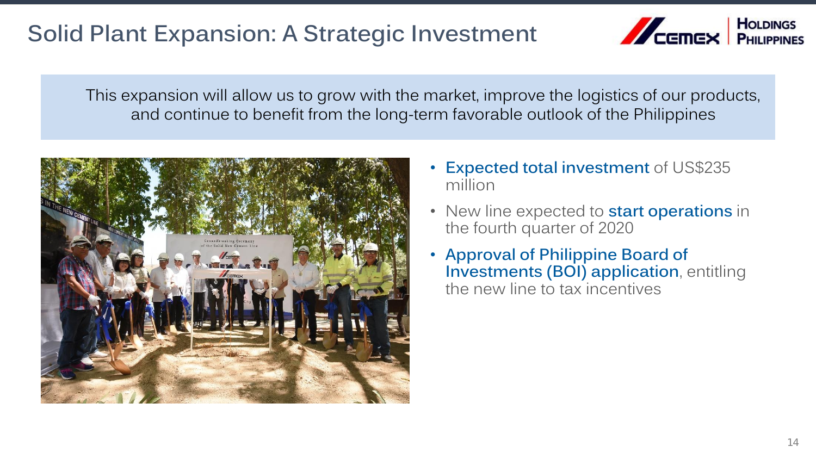# **Solid Plant Expansion: A Strategic Investment**



This expansion will allow us to grow with the market, improve the logistics of our products, and continue to benefit from the long-term favorable outlook of the Philippines



- **Expected total investment** of US\$235 million
- New line expected to **start operations** in the fourth quarter of 2020
- **Approval of Philippine Board of Investments (BOI) application**, entitling the new line to tax incentives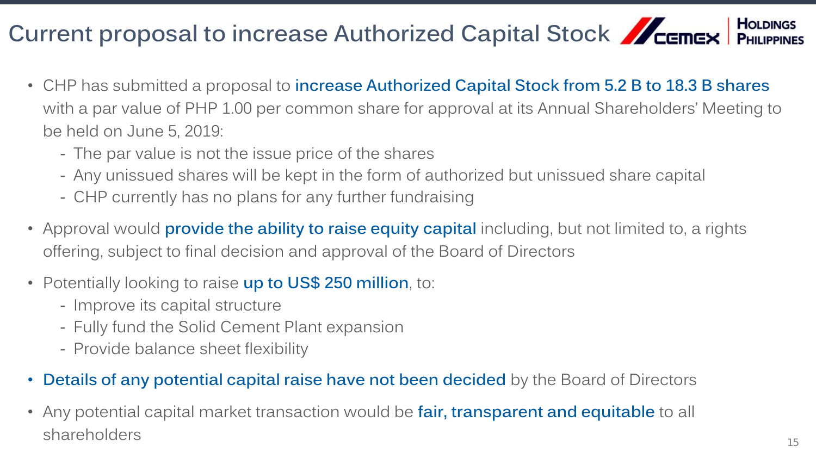#### **HOLDINGS** Current proposal to increase Authorized Capital Stock **CEMEX** PHILIPPINES

- CHP has submitted a proposal to **increase Authorized Capital Stock from 5.2 B to 18.3 B shares**  with a par value of PHP 1.00 per common share for approval at its Annual Shareholders' Meeting to be held on June 5, 2019:
	- The par value is not the issue price of the shares
	- Any unissued shares will be kept in the form of authorized but unissued share capital
	- CHP currently has no plans for any further fundraising
- Approval would **provide the ability to raise equity capital** including, but not limited to, a rights offering, subject to final decision and approval of the Board of Directors
- Potentially looking to raise **up to US\$ 250 million**, to:
	- Improve its capital structure
	- Fully fund the Solid Cement Plant expansion
	- Provide balance sheet flexibility
- **Details of any potential capital raise have not been decided** by the Board of Directors
- Any potential capital market transaction would be **fair, transparent and equitable** to all shareholders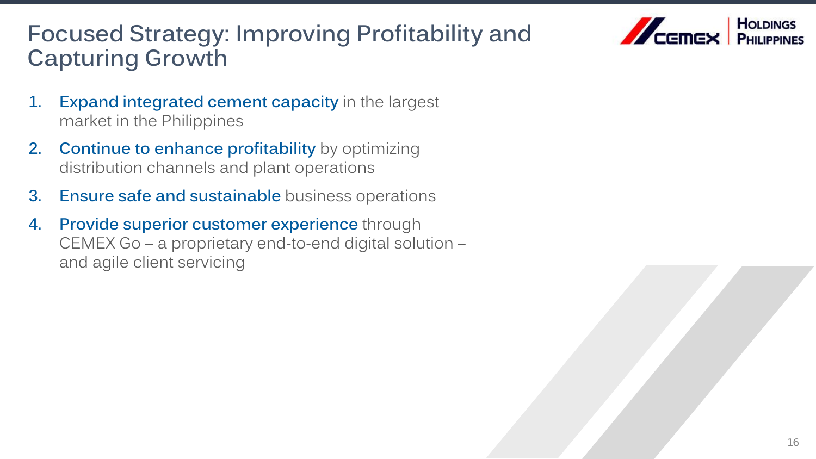# **Focused Strategy: Improving Profitability and Capturing Growth**



- **1. Expand integrated cement capacity** in the largest market in the Philippines
- **2. Continue to enhance profitability** by optimizing distribution channels and plant operations
- **3. Ensure safe and sustainable** business operations
- **4. Provide superior customer experience** through CEMEX Go – a proprietary end-to-end digital solution – and agile client servicing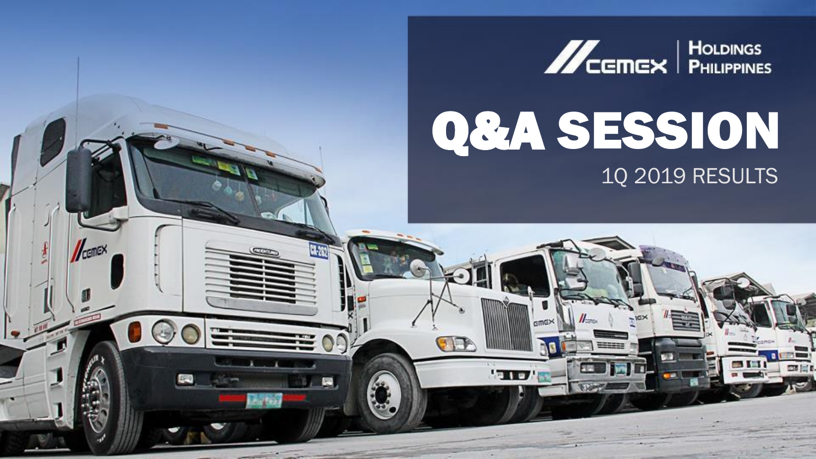

# Q&A SESSION 1Q 2019 RESULTS

'TID

覆

CEMEX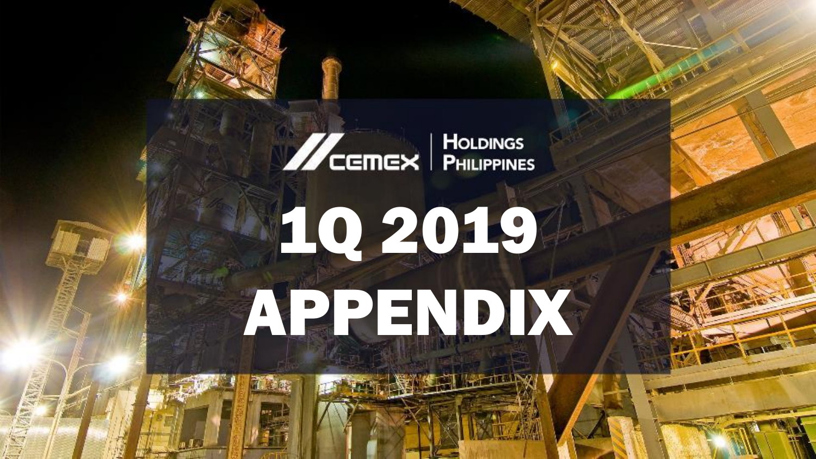# **ACEMEX** PHILIPPINES

# 10 2019 APPENDIX

**NEW ASSESSMENT**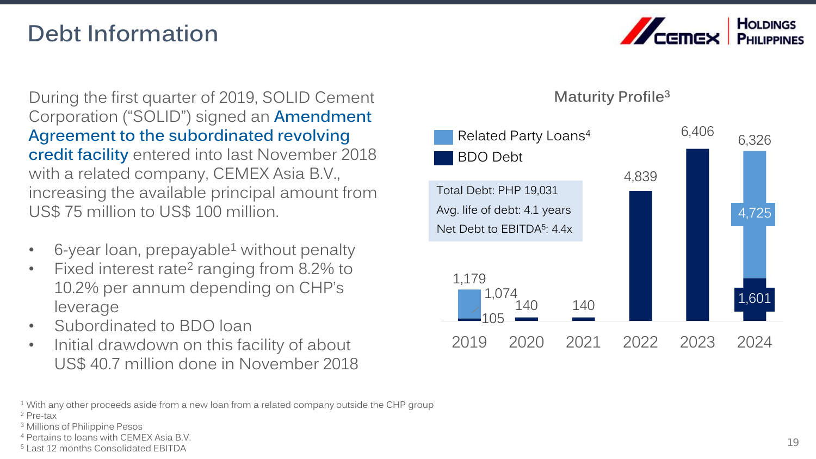# **Debt Information**



During the first quarter of 2019, SOLID Cement Corporation ("SOLID") signed an **Amendment Agreement to the subordinated revolving credit facility** entered into last November 2018 with a related company, CEMEX Asia B.V., increasing the available principal amount from US\$ 75 million to US\$ 100 million.

- $6$ -year loan, prepayable<sup>1</sup> without penalty
- Fixed interest rate<sup>2</sup> ranging from 8.2% to 10.2% per annum depending on CHP's leverage
- Subordinated to BDO loan
- Initial drawdown on this facility of about US\$ 40.7 million done in November 2018

**Maturity Profile<sup>3</sup>**



<sup>1</sup> With any other proceeds aside from a new loan from a related company outside the CHP group

<sup>3</sup> Millions of Philippine Pesos

<sup>5</sup> Last 12 months Consolidated EBITDA

<sup>2</sup> Pre-tax

<sup>4</sup> Pertains to loans with CEMEX Asia B.V.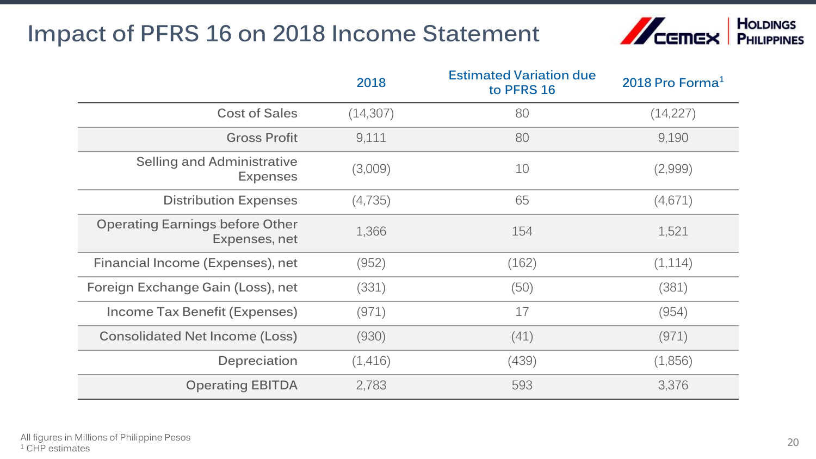# **Impact of PFRS 16 on 2018 Income Statement**



|                                                         | 2018      | <b>Estimated Variation due</b><br>to PFRS 16 | 2018 Pro Forma $1$ |
|---------------------------------------------------------|-----------|----------------------------------------------|--------------------|
| <b>Cost of Sales</b>                                    | (14, 307) | 80                                           | (14,227)           |
| <b>Gross Profit</b>                                     | 9,111     | 80                                           | 9,190              |
| Selling and Administrative<br><b>Expenses</b>           | (3,009)   | 10                                           | (2,999)            |
| <b>Distribution Expenses</b>                            | (4,735)   | 65                                           | (4,671)            |
| <b>Operating Earnings before Other</b><br>Expenses, net | 1,366     | 154                                          | 1,521              |
| Financial Income (Expenses), net                        | (952)     | (162)                                        | (1,114)            |
| Foreign Exchange Gain (Loss), net                       | (331)     | (50)                                         | (381)              |
| Income Tax Benefit (Expenses)                           | (971)     | 17                                           | (954)              |
| <b>Consolidated Net Income (Loss)</b>                   | (930)     | (41)                                         | (971)              |
| Depreciation                                            | (1,416)   | (439)                                        | (1,856)            |
| <b>Operating EBITDA</b>                                 | 2,783     | 593                                          | 3,376              |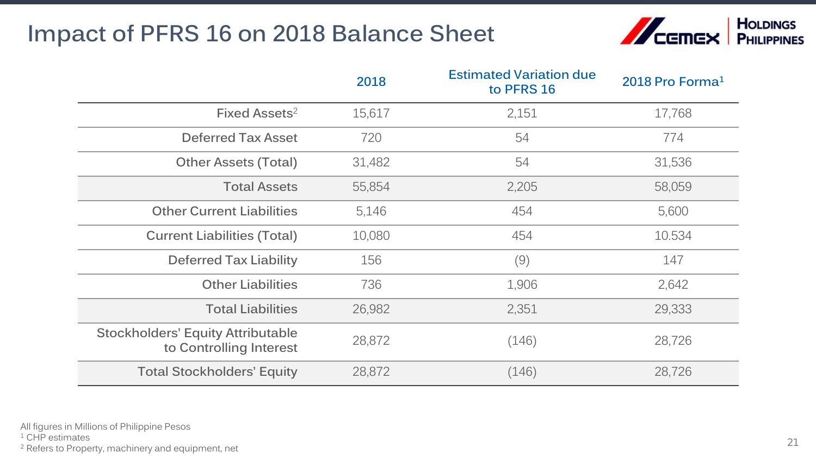# **Impact of PFRS 16 on 2018 Balance Sheet**



|                                                                     | 2018   | <b>Estimated Variation due</b><br>to PFRS 16 | 2018 Pro Forma <sup>1</sup> |
|---------------------------------------------------------------------|--------|----------------------------------------------|-----------------------------|
| Fixed Assets <sup>2</sup>                                           | 15,617 | 2,151                                        | 17,768                      |
| <b>Deferred Tax Asset</b>                                           | 720    | 54                                           | 774                         |
| <b>Other Assets (Total)</b>                                         | 31,482 | 54                                           | 31,536                      |
| <b>Total Assets</b>                                                 | 55,854 | 2,205                                        | 58,059                      |
| <b>Other Current Liabilities</b>                                    | 5,146  | 454                                          | 5,600                       |
| <b>Current Liabilities (Total)</b>                                  | 10,080 | 454                                          | 10.534                      |
| <b>Deferred Tax Liability</b>                                       | 156    | (9)                                          | 147                         |
| <b>Other Liabilities</b>                                            | 736    | 1,906                                        | 2,642                       |
| <b>Total Liabilities</b>                                            | 26,982 | 2,351                                        | 29,333                      |
| <b>Stockholders' Equity Attributable</b><br>to Controlling Interest | 28,872 | (146)                                        | 28,726                      |
| <b>Total Stockholders' Equity</b>                                   | 28,872 | (146)                                        | 28,726                      |

<sup>1</sup> CHP estimates

<sup>2</sup> Refers to Property, machinery and equipment, net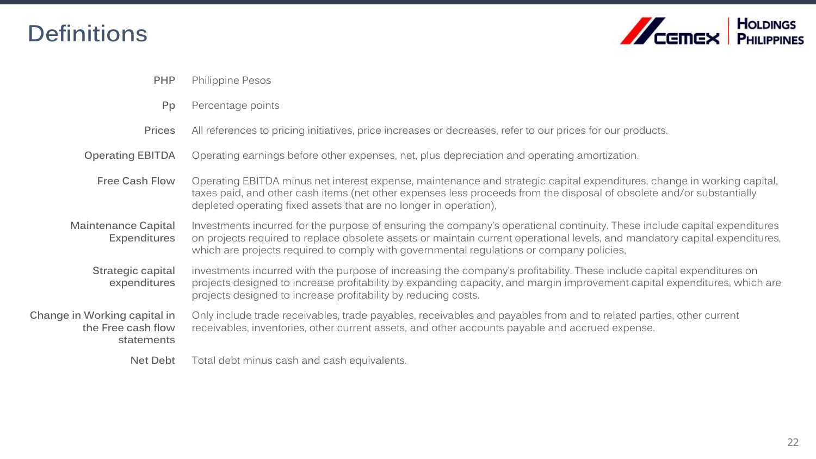# **Definitions**



| <b>PHP</b>                                                       | <b>Philippine Pesos</b>                                                                                                                                                                                                                                                                                                                              |
|------------------------------------------------------------------|------------------------------------------------------------------------------------------------------------------------------------------------------------------------------------------------------------------------------------------------------------------------------------------------------------------------------------------------------|
| Pp                                                               | Percentage points                                                                                                                                                                                                                                                                                                                                    |
| <b>Prices</b>                                                    | All references to pricing initiatives, price increases or decreases, refer to our prices for our products.                                                                                                                                                                                                                                           |
| <b>Operating EBITDA</b>                                          | Operating earnings before other expenses, net, plus depreciation and operating amortization.                                                                                                                                                                                                                                                         |
| Free Cash Flow                                                   | Operating EBITDA minus net interest expense, maintenance and strategic capital expenditures, change in working capital,<br>taxes paid, and other cash items (net other expenses less proceeds from the disposal of obsolete and/or substantially<br>depleted operating fixed assets that are no longer in operation),                                |
| Maintenance Capital<br>Expenditures                              | Investments incurred for the purpose of ensuring the company's operational continuity. These include capital expenditures<br>on projects required to replace obsolete assets or maintain current operational levels, and mandatory capital expenditures,<br>which are projects required to comply with governmental regulations or company policies, |
| Strategic capital<br>expenditures                                | investments incurred with the purpose of increasing the company's profitability. These include capital expenditures on<br>projects designed to increase profitability by expanding capacity, and margin improvement capital expenditures, which are<br>projects designed to increase profitability by reducing costs.                                |
| Change in Working capital in<br>the Free cash flow<br>statements | Only include trade receivables, trade payables, receivables and payables from and to related parties, other current<br>receivables, inventories, other current assets, and other accounts payable and accrued expense.                                                                                                                               |
| Net Debt                                                         | Total debt minus cash and cash equivalents.                                                                                                                                                                                                                                                                                                          |